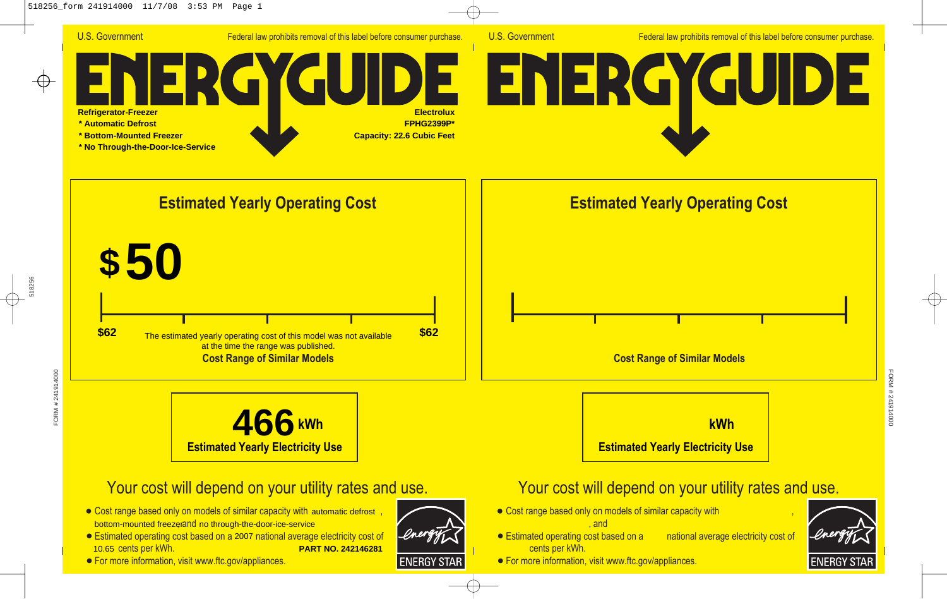

U.S. Government Federal law prohibits removal of this label before consumer purchase.

# U.S. Government<br>
Refrigerator-Freezer<br>
\* Automatic Defrost<br>
\* Bottom-Mounted Freezer<br>
\* No Through-the-Door-Ice-Service<br>
Estimated Year GU **Refrigerator-Freezer Electrolux \* Automatic Defrost FPHG2399P\* \* Bottom-Mounted Freezer Capacity: 22.6 Cubic Feet \* No Through-the-Door-Ice-Service**

**Estimated Yearly Operating Cost**





### Your cost will depend on your utility rates and use.

- Cost range based only on models of similar capacity with automatic defrost, bottom-mounted freezerand no through-the-door-ice-service
- Estimated operating cost based on a 2007 national average electricity cost of 10.65 cents per kWh. **PART NO. 242146281**
- **For more information, visit www.ftc.gov/appliances.**

**ENERGY STAF**